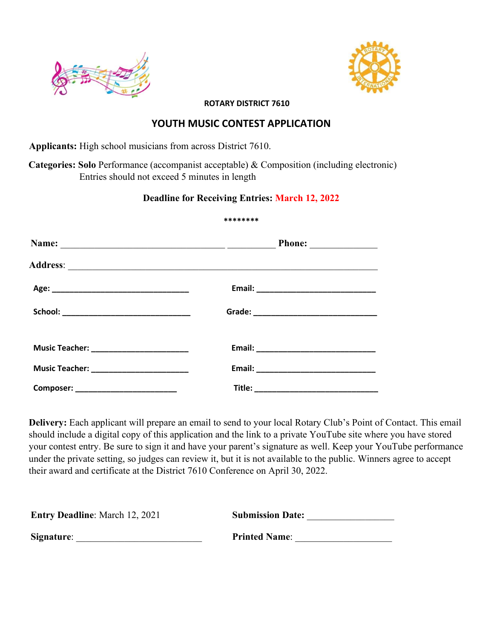



**ROTARY DISTRICT 7610**

## **YOUTH MUSIC CONTEST APPLICATION**

**Applicants:** High school musicians from across District 7610.

 **Categories: Solo** Performance (accompanist acceptable) & Composition (including electronic) Entries should not exceed 5 minutes in length

## **Deadline for Receiving Entries: March 12, 2022**

## **\*\*\*\*\*\*\*\***

|                                            | Phone: $\qquad \qquad$ |
|--------------------------------------------|------------------------|
|                                            |                        |
|                                            |                        |
| School: _________________________________  |                        |
| Music Teacher: ___________________________ |                        |
|                                            |                        |
| Composer: ___________________________      |                        |

**Delivery:** Each applicant will prepare an email to send to your local Rotary Club's Point of Contact. This email should include a digital copy of this application and the link to a private YouTube site where you have stored your contest entry. Be sure to sign it and have your parent's signature as well. Keep your YouTube performance under the private setting, so judges can review it, but it is not available to the public. Winners agree to accept their award and certificate at the District 7610 Conference on April 30, 2022.

| <b>Entry Deadline:</b> March 12, 2021 | <b>Submission Date:</b> |
|---------------------------------------|-------------------------|
| Signature:                            | <b>Printed Name:</b>    |